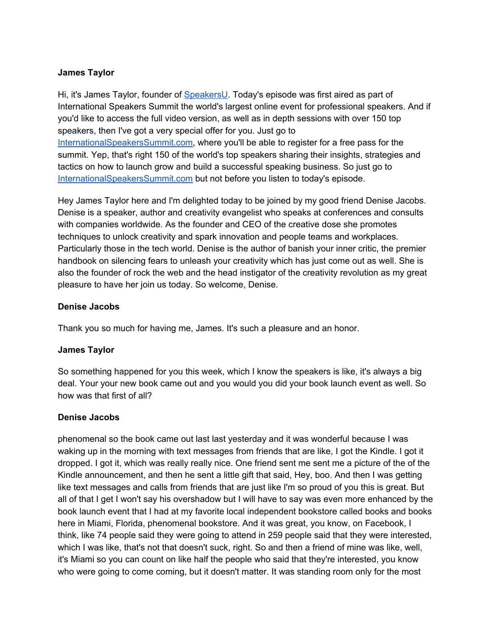## **James Taylor**

Hi, it's James Taylor, founder of [SpeakersU.](https://speakersu.com/) Today's episode was first aired as part of International Speakers Summit the world's largest online event for professional speakers. And if you'd like to access the full video version, as well as in depth sessions with over 150 top speakers, then I've got a very special offer for you. Just go to [InternationalSpeakersSummit.com](http://internationalspeakerssummit.com/), where you'll be able to register for a free pass for the summit. Yep, that's right 150 of the world's top speakers sharing their insights, strategies and tactics on how to launch grow and build a successful speaking business. So just go t[o](http://internationalspeakerssummit.com/) [InternationalSpeakersSummit.com](http://internationalspeakerssummit.com/) but not before you listen to today's episode.

Hey James Taylor here and I'm delighted today to be joined by my good friend Denise Jacobs. Denise is a speaker, author and creativity evangelist who speaks at conferences and consults with companies worldwide. As the founder and CEO of the creative dose she promotes techniques to unlock creativity and spark innovation and people teams and workplaces. Particularly those in the tech world. Denise is the author of banish your inner critic, the premier handbook on silencing fears to unleash your creativity which has just come out as well. She is also the founder of rock the web and the head instigator of the creativity revolution as my great pleasure to have her join us today. So welcome, Denise.

## **Denise Jacobs**

Thank you so much for having me, James. It's such a pleasure and an honor.

## **James Taylor**

So something happened for you this week, which I know the speakers is like, it's always a big deal. Your your new book came out and you would you did your book launch event as well. So how was that first of all?

## **Denise Jacobs**

phenomenal so the book came out last last yesterday and it was wonderful because I was waking up in the morning with text messages from friends that are like, I got the Kindle. I got it dropped. I got it, which was really really nice. One friend sent me sent me a picture of the of the Kindle announcement, and then he sent a little gift that said, Hey, boo. And then I was getting like text messages and calls from friends that are just like I'm so proud of you this is great. But all of that I get I won't say his overshadow but I will have to say was even more enhanced by the book launch event that I had at my favorite local independent bookstore called books and books here in Miami, Florida, phenomenal bookstore. And it was great, you know, on Facebook, I think, like 74 people said they were going to attend in 259 people said that they were interested, which I was like, that's not that doesn't suck, right. So and then a friend of mine was like, well, it's Miami so you can count on like half the people who said that they're interested, you know who were going to come coming, but it doesn't matter. It was standing room only for the most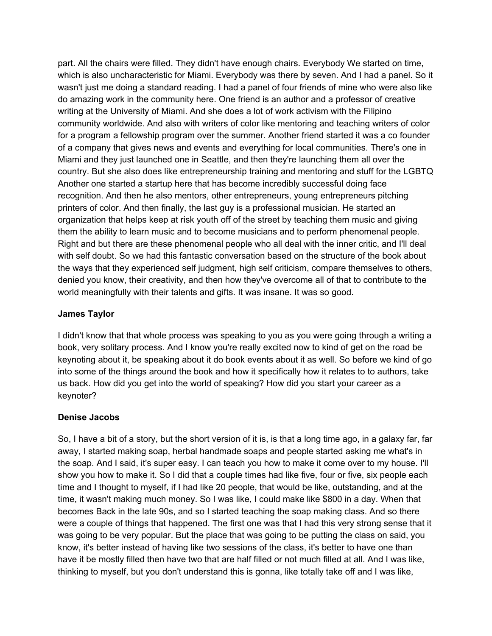part. All the chairs were filled. They didn't have enough chairs. Everybody We started on time, which is also uncharacteristic for Miami. Everybody was there by seven. And I had a panel. So it wasn't just me doing a standard reading. I had a panel of four friends of mine who were also like do amazing work in the community here. One friend is an author and a professor of creative writing at the University of Miami. And she does a lot of work activism with the Filipino community worldwide. And also with writers of color like mentoring and teaching writers of color for a program a fellowship program over the summer. Another friend started it was a co founder of a company that gives news and events and everything for local communities. There's one in Miami and they just launched one in Seattle, and then they're launching them all over the country. But she also does like entrepreneurship training and mentoring and stuff for the LGBTQ Another one started a startup here that has become incredibly successful doing face recognition. And then he also mentors, other entrepreneurs, young entrepreneurs pitching printers of color. And then finally, the last guy is a professional musician. He started an organization that helps keep at risk youth off of the street by teaching them music and giving them the ability to learn music and to become musicians and to perform phenomenal people. Right and but there are these phenomenal people who all deal with the inner critic, and I'll deal with self doubt. So we had this fantastic conversation based on the structure of the book about the ways that they experienced self judgment, high self criticism, compare themselves to others, denied you know, their creativity, and then how they've overcome all of that to contribute to the world meaningfully with their talents and gifts. It was insane. It was so good.

## **James Taylor**

I didn't know that that whole process was speaking to you as you were going through a writing a book, very solitary process. And I know you're really excited now to kind of get on the road be keynoting about it, be speaking about it do book events about it as well. So before we kind of go into some of the things around the book and how it specifically how it relates to to authors, take us back. How did you get into the world of speaking? How did you start your career as a keynoter?

## **Denise Jacobs**

So, I have a bit of a story, but the short version of it is, is that a long time ago, in a galaxy far, far away, I started making soap, herbal handmade soaps and people started asking me what's in the soap. And I said, it's super easy. I can teach you how to make it come over to my house. I'll show you how to make it. So I did that a couple times had like five, four or five, six people each time and I thought to myself, if I had like 20 people, that would be like, outstanding, and at the time, it wasn't making much money. So I was like, I could make like \$800 in a day. When that becomes Back in the late 90s, and so I started teaching the soap making class. And so there were a couple of things that happened. The first one was that I had this very strong sense that it was going to be very popular. But the place that was going to be putting the class on said, you know, it's better instead of having like two sessions of the class, it's better to have one than have it be mostly filled then have two that are half filled or not much filled at all. And I was like, thinking to myself, but you don't understand this is gonna, like totally take off and I was like,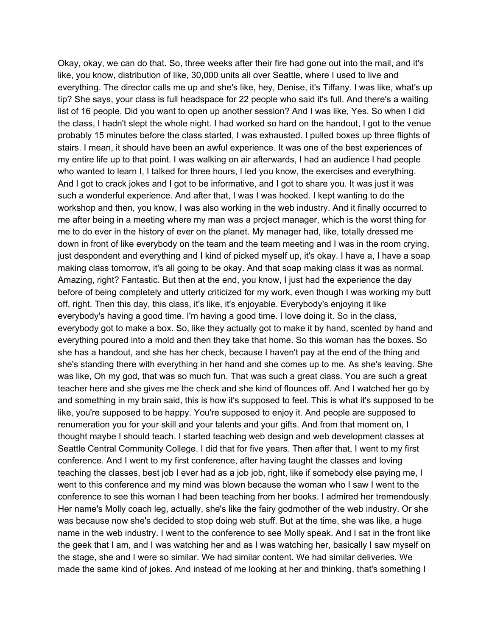Okay, okay, we can do that. So, three weeks after their fire had gone out into the mail, and it's like, you know, distribution of like, 30,000 units all over Seattle, where I used to live and everything. The director calls me up and she's like, hey, Denise, it's Tiffany. I was like, what's up tip? She says, your class is full headspace for 22 people who said it's full. And there's a waiting list of 16 people. Did you want to open up another session? And I was like, Yes. So when I did the class, I hadn't slept the whole night. I had worked so hard on the handout, I got to the venue probably 15 minutes before the class started, I was exhausted. I pulled boxes up three flights of stairs. I mean, it should have been an awful experience. It was one of the best experiences of my entire life up to that point. I was walking on air afterwards, I had an audience I had people who wanted to learn I, I talked for three hours, I led you know, the exercises and everything. And I got to crack jokes and I got to be informative, and I got to share you. It was just it was such a wonderful experience. And after that, I was I was hooked. I kept wanting to do the workshop and then, you know, I was also working in the web industry. And it finally occurred to me after being in a meeting where my man was a project manager, which is the worst thing for me to do ever in the history of ever on the planet. My manager had, like, totally dressed me down in front of like everybody on the team and the team meeting and I was in the room crying, just despondent and everything and I kind of picked myself up, it's okay. I have a, I have a soap making class tomorrow, it's all going to be okay. And that soap making class it was as normal. Amazing, right? Fantastic. But then at the end, you know, I just had the experience the day before of being completely and utterly criticized for my work, even though I was working my butt off, right. Then this day, this class, it's like, it's enjoyable. Everybody's enjoying it like everybody's having a good time. I'm having a good time. I love doing it. So in the class, everybody got to make a box. So, like they actually got to make it by hand, scented by hand and everything poured into a mold and then they take that home. So this woman has the boxes. So she has a handout, and she has her check, because I haven't pay at the end of the thing and she's standing there with everything in her hand and she comes up to me. As she's leaving. She was like, Oh my god, that was so much fun. That was such a great class. You are such a great teacher here and she gives me the check and she kind of flounces off. And I watched her go by and something in my brain said, this is how it's supposed to feel. This is what it's supposed to be like, you're supposed to be happy. You're supposed to enjoy it. And people are supposed to renumeration you for your skill and your talents and your gifts. And from that moment on, I thought maybe I should teach. I started teaching web design and web development classes at Seattle Central Community College. I did that for five years. Then after that, I went to my first conference. And I went to my first conference, after having taught the classes and loving teaching the classes, best job I ever had as a job job, right, like if somebody else paying me, I went to this conference and my mind was blown because the woman who I saw I went to the conference to see this woman I had been teaching from her books. I admired her tremendously. Her name's Molly coach leg, actually, she's like the fairy godmother of the web industry. Or she was because now she's decided to stop doing web stuff. But at the time, she was like, a huge name in the web industry. I went to the conference to see Molly speak. And I sat in the front like the geek that I am, and I was watching her and as I was watching her, basically I saw myself on the stage, she and I were so similar. We had similar content. We had similar deliveries. We made the same kind of jokes. And instead of me looking at her and thinking, that's something I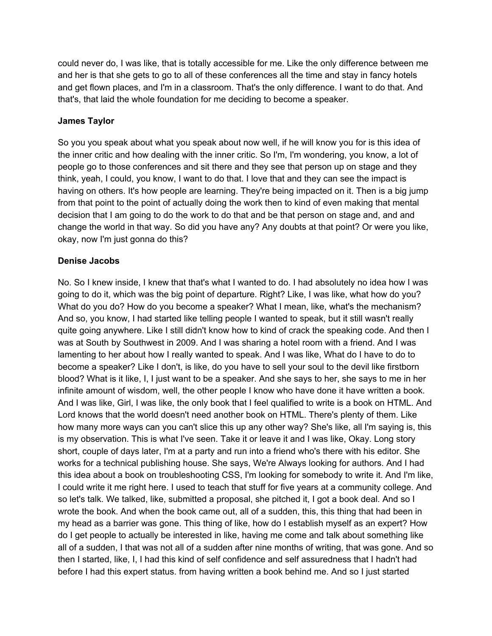could never do, I was like, that is totally accessible for me. Like the only difference between me and her is that she gets to go to all of these conferences all the time and stay in fancy hotels and get flown places, and I'm in a classroom. That's the only difference. I want to do that. And that's, that laid the whole foundation for me deciding to become a speaker.

## **James Taylor**

So you you speak about what you speak about now well, if he will know you for is this idea of the inner critic and how dealing with the inner critic. So I'm, I'm wondering, you know, a lot of people go to those conferences and sit there and they see that person up on stage and they think, yeah, I could, you know, I want to do that. I love that and they can see the impact is having on others. It's how people are learning. They're being impacted on it. Then is a big jump from that point to the point of actually doing the work then to kind of even making that mental decision that I am going to do the work to do that and be that person on stage and, and and change the world in that way. So did you have any? Any doubts at that point? Or were you like, okay, now I'm just gonna do this?

## **Denise Jacobs**

No. So I knew inside, I knew that that's what I wanted to do. I had absolutely no idea how I was going to do it, which was the big point of departure. Right? Like, I was like, what how do you? What do you do? How do you become a speaker? What I mean, like, what's the mechanism? And so, you know, I had started like telling people I wanted to speak, but it still wasn't really quite going anywhere. Like I still didn't know how to kind of crack the speaking code. And then I was at South by Southwest in 2009. And I was sharing a hotel room with a friend. And I was lamenting to her about how I really wanted to speak. And I was like, What do I have to do to become a speaker? Like I don't, is like, do you have to sell your soul to the devil like firstborn blood? What is it like, I, I just want to be a speaker. And she says to her, she says to me in her infinite amount of wisdom, well, the other people I know who have done it have written a book. And I was like, Girl, I was like, the only book that I feel qualified to write is a book on HTML. And Lord knows that the world doesn't need another book on HTML. There's plenty of them. Like how many more ways can you can't slice this up any other way? She's like, all I'm saying is, this is my observation. This is what I've seen. Take it or leave it and I was like, Okay. Long story short, couple of days later, I'm at a party and run into a friend who's there with his editor. She works for a technical publishing house. She says, We're Always looking for authors. And I had this idea about a book on troubleshooting CSS, I'm looking for somebody to write it. And I'm like, I could write it me right here. I used to teach that stuff for five years at a community college. And so let's talk. We talked, like, submitted a proposal, she pitched it, I got a book deal. And so I wrote the book. And when the book came out, all of a sudden, this, this thing that had been in my head as a barrier was gone. This thing of like, how do I establish myself as an expert? How do I get people to actually be interested in like, having me come and talk about something like all of a sudden, I that was not all of a sudden after nine months of writing, that was gone. And so then I started, like, I, I had this kind of self confidence and self assuredness that I hadn't had before I had this expert status. from having written a book behind me. And so I just started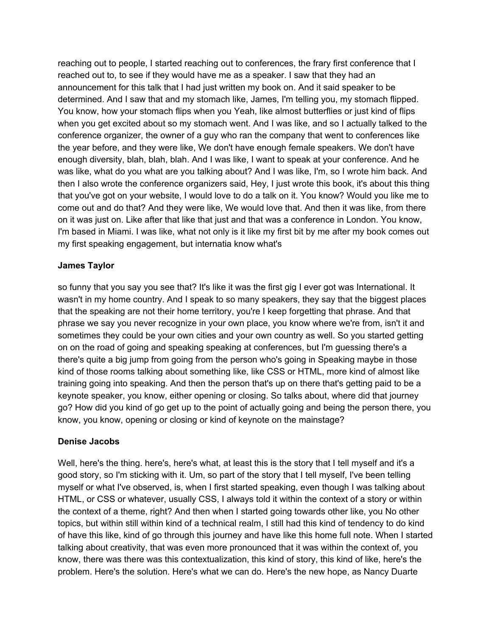reaching out to people, I started reaching out to conferences, the frary first conference that I reached out to, to see if they would have me as a speaker. I saw that they had an announcement for this talk that I had just written my book on. And it said speaker to be determined. And I saw that and my stomach like, James, I'm telling you, my stomach flipped. You know, how your stomach flips when you Yeah, like almost butterflies or just kind of flips when you get excited about so my stomach went. And I was like, and so I actually talked to the conference organizer, the owner of a guy who ran the company that went to conferences like the year before, and they were like, We don't have enough female speakers. We don't have enough diversity, blah, blah, blah. And I was like, I want to speak at your conference. And he was like, what do you what are you talking about? And I was like, I'm, so I wrote him back. And then I also wrote the conference organizers said, Hey, I just wrote this book, it's about this thing that you've got on your website, I would love to do a talk on it. You know? Would you like me to come out and do that? And they were like, We would love that. And then it was like, from there on it was just on. Like after that like that just and that was a conference in London. You know, I'm based in Miami. I was like, what not only is it like my first bit by me after my book comes out my first speaking engagement, but internatia know what's

## **James Taylor**

so funny that you say you see that? It's like it was the first gig I ever got was International. It wasn't in my home country. And I speak to so many speakers, they say that the biggest places that the speaking are not their home territory, you're I keep forgetting that phrase. And that phrase we say you never recognize in your own place, you know where we're from, isn't it and sometimes they could be your own cities and your own country as well. So you started getting on on the road of going and speaking speaking at conferences, but I'm guessing there's a there's quite a big jump from going from the person who's going in Speaking maybe in those kind of those rooms talking about something like, like CSS or HTML, more kind of almost like training going into speaking. And then the person that's up on there that's getting paid to be a keynote speaker, you know, either opening or closing. So talks about, where did that journey go? How did you kind of go get up to the point of actually going and being the person there, you know, you know, opening or closing or kind of keynote on the mainstage?

## **Denise Jacobs**

Well, here's the thing. here's, here's what, at least this is the story that I tell myself and it's a good story, so I'm sticking with it. Um, so part of the story that I tell myself, I've been telling myself or what I've observed, is, when I first started speaking, even though I was talking about HTML, or CSS or whatever, usually CSS, I always told it within the context of a story or within the context of a theme, right? And then when I started going towards other like, you No other topics, but within still within kind of a technical realm, I still had this kind of tendency to do kind of have this like, kind of go through this journey and have like this home full note. When I started talking about creativity, that was even more pronounced that it was within the context of, you know, there was there was this contextualization, this kind of story, this kind of like, here's the problem. Here's the solution. Here's what we can do. Here's the new hope, as Nancy Duarte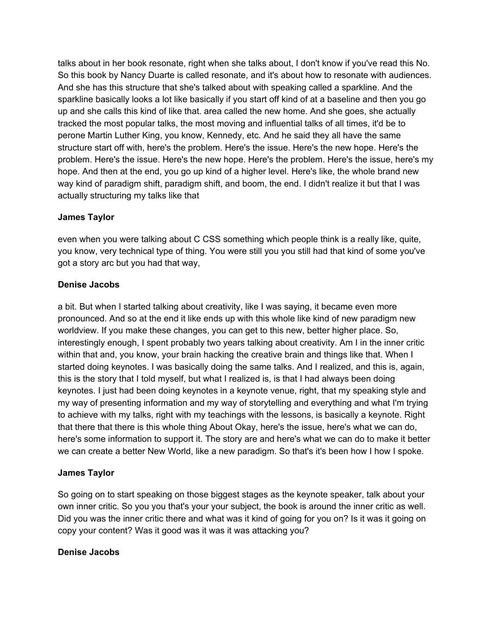talks about in her book resonate, right when she talks about, I don't know if you've read this No. So this book by Nancy Duarte is called resonate, and it's about how to resonate with audiences. And she has this structure that she's talked about with speaking called a sparkline. And the sparkline basically looks a lot like basically if you start off kind of at a baseline and then you go up and she calls this kind of like that. area called the new home. And she goes, she actually tracked the most popular talks, the most moving and influential talks of all times, it'd be to perone Martin Luther King, you know, Kennedy, etc. And he said they all have the same structure start off with, here's the problem. Here's the issue. Here's the new hope. Here's the problem. Here's the issue. Here's the new hope. Here's the problem. Here's the issue, here's my hope. And then at the end, you go up kind of a higher level. Here's like, the whole brand new way kind of paradigm shift, paradigm shift, and boom, the end. I didn't realize it but that I was actually structuring my talks like that

## **James Taylor**

even when you were talking about C CSS something which people think is a really like, quite, you know, very technical type of thing. You were still you you still had that kind of some you've got a story arc but you had that way,

## **Denise Jacobs**

a bit. But when I started talking about creativity, like I was saying, it became even more pronounced. And so at the end it like ends up with this whole like kind of new paradigm new worldview. If you make these changes, you can get to this new, better higher place. So, interestingly enough, I spent probably two years talking about creativity. Am I in the inner critic within that and, you know, your brain hacking the creative brain and things like that. When I started doing keynotes. I was basically doing the same talks. And I realized, and this is, again, this is the story that I told myself, but what I realized is, is that I had always been doing keynotes. I just had been doing keynotes in a keynote venue, right, that my speaking style and my way of presenting information and my way of storytelling and everything and what I'm trying to achieve with my talks, right with my teachings with the lessons, is basically a keynote. Right that there that there is this whole thing About Okay, here's the issue, here's what we can do, here's some information to support it. The story are and here's what we can do to make it better we can create a better New World, like a new paradigm. So that's it's been how I how I spoke.

# **James Taylor**

So going on to start speaking on those biggest stages as the keynote speaker, talk about your own inner critic. So you you that's your your subject, the book is around the inner critic as well. Did you was the inner critic there and what was it kind of going for you on? Is it was it going on copy your content? Was it good was it was it was attacking you?

## **Denise Jacobs**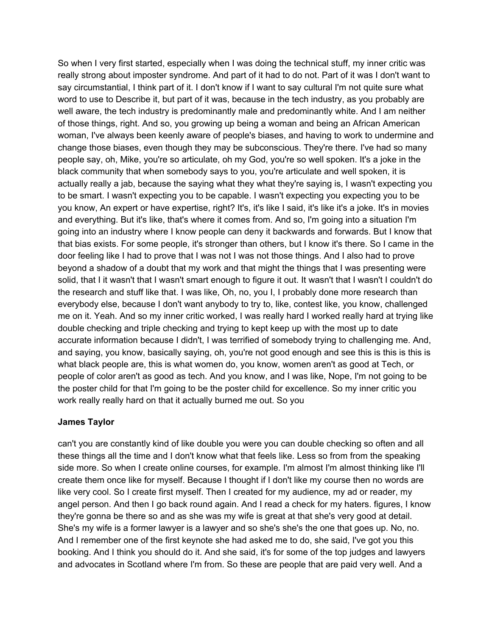So when I very first started, especially when I was doing the technical stuff, my inner critic was really strong about imposter syndrome. And part of it had to do not. Part of it was I don't want to say circumstantial, I think part of it. I don't know if I want to say cultural I'm not quite sure what word to use to Describe it, but part of it was, because in the tech industry, as you probably are well aware, the tech industry is predominantly male and predominantly white. And I am neither of those things, right. And so, you growing up being a woman and being an African American woman, I've always been keenly aware of people's biases, and having to work to undermine and change those biases, even though they may be subconscious. They're there. I've had so many people say, oh, Mike, you're so articulate, oh my God, you're so well spoken. It's a joke in the black community that when somebody says to you, you're articulate and well spoken, it is actually really a jab, because the saying what they what they're saying is, I wasn't expecting you to be smart. I wasn't expecting you to be capable. I wasn't expecting you expecting you to be you know, An expert or have expertise, right? It's, it's like I said, it's like it's a joke. It's in movies and everything. But it's like, that's where it comes from. And so, I'm going into a situation I'm going into an industry where I know people can deny it backwards and forwards. But I know that that bias exists. For some people, it's stronger than others, but I know it's there. So I came in the door feeling like I had to prove that I was not I was not those things. And I also had to prove beyond a shadow of a doubt that my work and that might the things that I was presenting were solid, that I it wasn't that I wasn't smart enough to figure it out. It wasn't that I wasn't I couldn't do the research and stuff like that. I was like, Oh, no, you I, I probably done more research than everybody else, because I don't want anybody to try to, like, contest like, you know, challenged me on it. Yeah. And so my inner critic worked, I was really hard I worked really hard at trying like double checking and triple checking and trying to kept keep up with the most up to date accurate information because I didn't, I was terrified of somebody trying to challenging me. And, and saying, you know, basically saying, oh, you're not good enough and see this is this is this is what black people are, this is what women do, you know, women aren't as good at Tech, or people of color aren't as good as tech. And you know, and I was like, Nope, I'm not going to be the poster child for that I'm going to be the poster child for excellence. So my inner critic you work really really hard on that it actually burned me out. So you

# **James Taylor**

can't you are constantly kind of like double you were you can double checking so often and all these things all the time and I don't know what that feels like. Less so from from the speaking side more. So when I create online courses, for example. I'm almost I'm almost thinking like I'll create them once like for myself. Because I thought if I don't like my course then no words are like very cool. So I create first myself. Then I created for my audience, my ad or reader, my angel person. And then I go back round again. And I read a check for my haters. figures, I know they're gonna be there so and as she was my wife is great at that she's very good at detail. She's my wife is a former lawyer is a lawyer and so she's she's the one that goes up. No, no. And I remember one of the first keynote she had asked me to do, she said, I've got you this booking. And I think you should do it. And she said, it's for some of the top judges and lawyers and advocates in Scotland where I'm from. So these are people that are paid very well. And a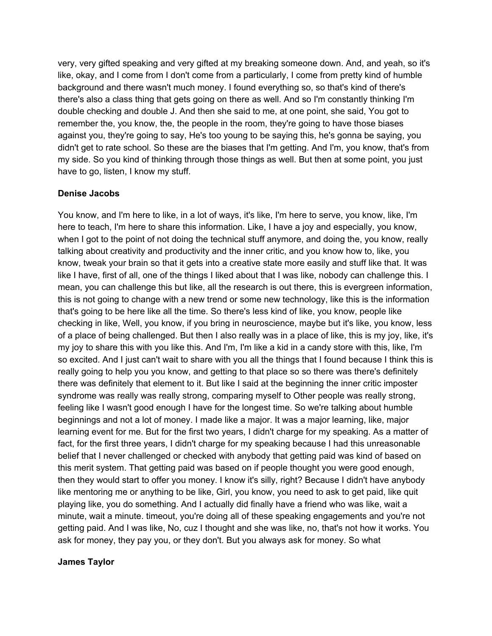very, very gifted speaking and very gifted at my breaking someone down. And, and yeah, so it's like, okay, and I come from I don't come from a particularly, I come from pretty kind of humble background and there wasn't much money. I found everything so, so that's kind of there's there's also a class thing that gets going on there as well. And so I'm constantly thinking I'm double checking and double J. And then she said to me, at one point, she said, You got to remember the, you know, the, the people in the room, they're going to have those biases against you, they're going to say, He's too young to be saying this, he's gonna be saying, you didn't get to rate school. So these are the biases that I'm getting. And I'm, you know, that's from my side. So you kind of thinking through those things as well. But then at some point, you just have to go, listen, I know my stuff.

#### **Denise Jacobs**

You know, and I'm here to like, in a lot of ways, it's like, I'm here to serve, you know, like, I'm here to teach, I'm here to share this information. Like, I have a joy and especially, you know, when I got to the point of not doing the technical stuff anymore, and doing the, you know, really talking about creativity and productivity and the inner critic, and you know how to, like, you know, tweak your brain so that it gets into a creative state more easily and stuff like that. It was like I have, first of all, one of the things I liked about that I was like, nobody can challenge this. I mean, you can challenge this but like, all the research is out there, this is evergreen information, this is not going to change with a new trend or some new technology, like this is the information that's going to be here like all the time. So there's less kind of like, you know, people like checking in like, Well, you know, if you bring in neuroscience, maybe but it's like, you know, less of a place of being challenged. But then I also really was in a place of like, this is my joy, like, it's my joy to share this with you like this. And I'm, I'm like a kid in a candy store with this, like, I'm so excited. And I just can't wait to share with you all the things that I found because I think this is really going to help you you know, and getting to that place so so there was there's definitely there was definitely that element to it. But like I said at the beginning the inner critic imposter syndrome was really was really strong, comparing myself to Other people was really strong, feeling like I wasn't good enough I have for the longest time. So we're talking about humble beginnings and not a lot of money. I made like a major. It was a major learning, like, major learning event for me. But for the first two years, I didn't charge for my speaking. As a matter of fact, for the first three years, I didn't charge for my speaking because I had this unreasonable belief that I never challenged or checked with anybody that getting paid was kind of based on this merit system. That getting paid was based on if people thought you were good enough, then they would start to offer you money. I know it's silly, right? Because I didn't have anybody like mentoring me or anything to be like, Girl, you know, you need to ask to get paid, like quit playing like, you do something. And I actually did finally have a friend who was like, wait a minute, wait a minute. timeout, you're doing all of these speaking engagements and you're not getting paid. And I was like, No, cuz I thought and she was like, no, that's not how it works. You ask for money, they pay you, or they don't. But you always ask for money. So what

#### **James Taylor**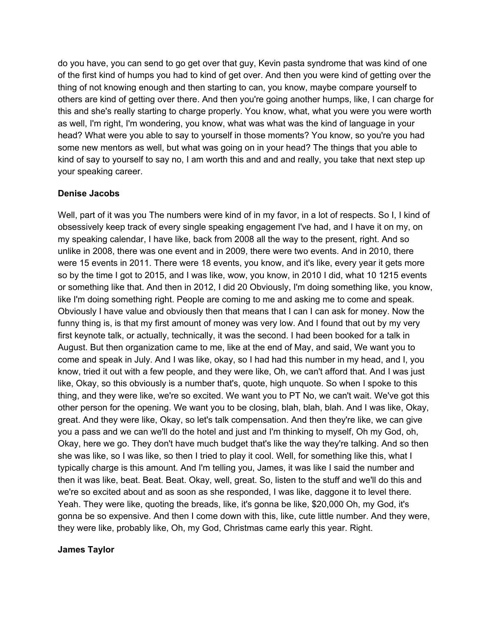do you have, you can send to go get over that guy, Kevin pasta syndrome that was kind of one of the first kind of humps you had to kind of get over. And then you were kind of getting over the thing of not knowing enough and then starting to can, you know, maybe compare yourself to others are kind of getting over there. And then you're going another humps, like, I can charge for this and she's really starting to charge properly. You know, what, what you were you were worth as well, I'm right, I'm wondering, you know, what was what was the kind of language in your head? What were you able to say to yourself in those moments? You know, so you're you had some new mentors as well, but what was going on in your head? The things that you able to kind of say to yourself to say no, I am worth this and and and really, you take that next step up your speaking career.

## **Denise Jacobs**

Well, part of it was you The numbers were kind of in my favor, in a lot of respects. So I, I kind of obsessively keep track of every single speaking engagement I've had, and I have it on my, on my speaking calendar, I have like, back from 2008 all the way to the present, right. And so unlike in 2008, there was one event and in 2009, there were two events. And in 2010, there were 15 events in 2011. There were 18 events, you know, and it's like, every year it gets more so by the time I got to 2015, and I was like, wow, you know, in 2010 I did, what 10 1215 events or something like that. And then in 2012, I did 20 Obviously, I'm doing something like, you know, like I'm doing something right. People are coming to me and asking me to come and speak. Obviously I have value and obviously then that means that I can I can ask for money. Now the funny thing is, is that my first amount of money was very low. And I found that out by my very first keynote talk, or actually, technically, it was the second. I had been booked for a talk in August. But then organization came to me, like at the end of May, and said, We want you to come and speak in July. And I was like, okay, so I had had this number in my head, and I, you know, tried it out with a few people, and they were like, Oh, we can't afford that. And I was just like, Okay, so this obviously is a number that's, quote, high unquote. So when I spoke to this thing, and they were like, we're so excited. We want you to PT No, we can't wait. We've got this other person for the opening. We want you to be closing, blah, blah, blah. And I was like, Okay, great. And they were like, Okay, so let's talk compensation. And then they're like, we can give you a pass and we can we'll do the hotel and just and I'm thinking to myself, Oh my God, oh, Okay, here we go. They don't have much budget that's like the way they're talking. And so then she was like, so I was like, so then I tried to play it cool. Well, for something like this, what I typically charge is this amount. And I'm telling you, James, it was like I said the number and then it was like, beat. Beat. Beat. Okay, well, great. So, listen to the stuff and we'll do this and we're so excited about and as soon as she responded, I was like, daggone it to level there. Yeah. They were like, quoting the breads, like, it's gonna be like, \$20,000 Oh, my God, it's gonna be so expensive. And then I come down with this, like, cute little number. And they were, they were like, probably like, Oh, my God, Christmas came early this year. Right.

## **James Taylor**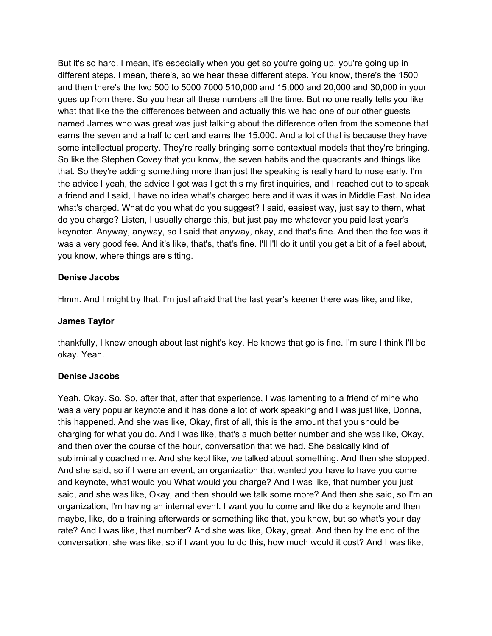But it's so hard. I mean, it's especially when you get so you're going up, you're going up in different steps. I mean, there's, so we hear these different steps. You know, there's the 1500 and then there's the two 500 to 5000 7000 510,000 and 15,000 and 20,000 and 30,000 in your goes up from there. So you hear all these numbers all the time. But no one really tells you like what that like the the differences between and actually this we had one of our other guests named James who was great was just talking about the difference often from the someone that earns the seven and a half to cert and earns the 15,000. And a lot of that is because they have some intellectual property. They're really bringing some contextual models that they're bringing. So like the Stephen Covey that you know, the seven habits and the quadrants and things like that. So they're adding something more than just the speaking is really hard to nose early. I'm the advice I yeah, the advice I got was I got this my first inquiries, and I reached out to to speak a friend and I said, I have no idea what's charged here and it was it was in Middle East. No idea what's charged. What do you what do you suggest? I said, easiest way, just say to them, what do you charge? Listen, I usually charge this, but just pay me whatever you paid last year's keynoter. Anyway, anyway, so I said that anyway, okay, and that's fine. And then the fee was it was a very good fee. And it's like, that's, that's fine. I'll I'll do it until you get a bit of a feel about, you know, where things are sitting.

## **Denise Jacobs**

Hmm. And I might try that. I'm just afraid that the last year's keener there was like, and like,

#### **James Taylor**

thankfully, I knew enough about last night's key. He knows that go is fine. I'm sure I think I'll be okay. Yeah.

#### **Denise Jacobs**

Yeah. Okay. So. So, after that, after that experience, I was lamenting to a friend of mine who was a very popular keynote and it has done a lot of work speaking and I was just like, Donna, this happened. And she was like, Okay, first of all, this is the amount that you should be charging for what you do. And I was like, that's a much better number and she was like, Okay, and then over the course of the hour, conversation that we had. She basically kind of subliminally coached me. And she kept like, we talked about something. And then she stopped. And she said, so if I were an event, an organization that wanted you have to have you come and keynote, what would you What would you charge? And I was like, that number you just said, and she was like, Okay, and then should we talk some more? And then she said, so I'm an organization, I'm having an internal event. I want you to come and like do a keynote and then maybe, like, do a training afterwards or something like that, you know, but so what's your day rate? And I was like, that number? And she was like, Okay, great. And then by the end of the conversation, she was like, so if I want you to do this, how much would it cost? And I was like,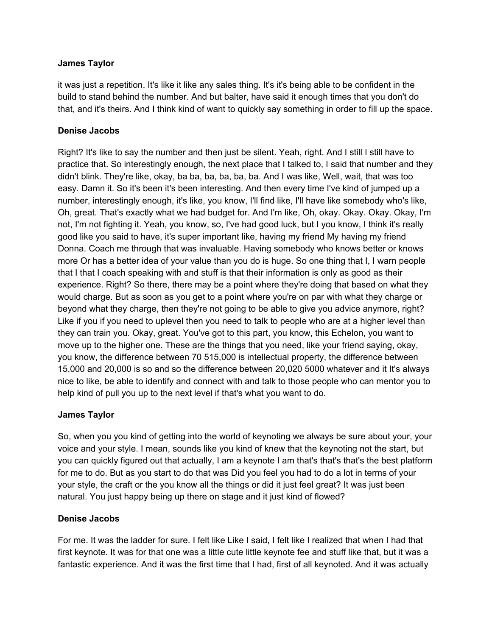## **James Taylor**

it was just a repetition. It's like it like any sales thing. It's it's being able to be confident in the build to stand behind the number. And but balter, have said it enough times that you don't do that, and it's theirs. And I think kind of want to quickly say something in order to fill up the space.

## **Denise Jacobs**

Right? It's like to say the number and then just be silent. Yeah, right. And I still I still have to practice that. So interestingly enough, the next place that I talked to, I said that number and they didn't blink. They're like, okay, ba ba, ba, ba, ba, ba. And I was like, Well, wait, that was too easy. Damn it. So it's been it's been interesting. And then every time I've kind of jumped up a number, interestingly enough, it's like, you know, I'll find like, I'll have like somebody who's like, Oh, great. That's exactly what we had budget for. And I'm like, Oh, okay. Okay. Okay. Okay, I'm not, I'm not fighting it. Yeah, you know, so, I've had good luck, but I you know, I think it's really good like you said to have, it's super important like, having my friend My having my friend Donna. Coach me through that was invaluable. Having somebody who knows better or knows more Or has a better idea of your value than you do is huge. So one thing that I, I warn people that I that I coach speaking with and stuff is that their information is only as good as their experience. Right? So there, there may be a point where they're doing that based on what they would charge. But as soon as you get to a point where you're on par with what they charge or beyond what they charge, then they're not going to be able to give you advice anymore, right? Like if you if you need to uplevel then you need to talk to people who are at a higher level than they can train you. Okay, great. You've got to this part, you know, this Echelon, you want to move up to the higher one. These are the things that you need, like your friend saying, okay, you know, the difference between 70 515,000 is intellectual property, the difference between 15,000 and 20,000 is so and so the difference between 20,020 5000 whatever and it It's always nice to like, be able to identify and connect with and talk to those people who can mentor you to help kind of pull you up to the next level if that's what you want to do.

## **James Taylor**

So, when you you kind of getting into the world of keynoting we always be sure about your, your voice and your style. I mean, sounds like you kind of knew that the keynoting not the start, but you can quickly figured out that actually, I am a keynote I am that's that's that's the best platform for me to do. But as you start to do that was Did you feel you had to do a lot in terms of your your style, the craft or the you know all the things or did it just feel great? It was just been natural. You just happy being up there on stage and it just kind of flowed?

## **Denise Jacobs**

For me. It was the ladder for sure. I felt like Like I said, I felt like I realized that when I had that first keynote. It was for that one was a little cute little keynote fee and stuff like that, but it was a fantastic experience. And it was the first time that I had, first of all keynoted. And it was actually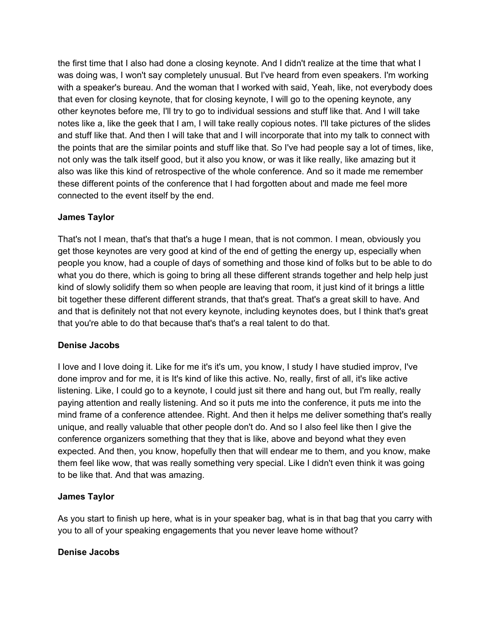the first time that I also had done a closing keynote. And I didn't realize at the time that what I was doing was, I won't say completely unusual. But I've heard from even speakers. I'm working with a speaker's bureau. And the woman that I worked with said, Yeah, like, not everybody does that even for closing keynote, that for closing keynote, I will go to the opening keynote, any other keynotes before me, I'll try to go to individual sessions and stuff like that. And I will take notes like a, like the geek that I am, I will take really copious notes. I'll take pictures of the slides and stuff like that. And then I will take that and I will incorporate that into my talk to connect with the points that are the similar points and stuff like that. So I've had people say a lot of times, like, not only was the talk itself good, but it also you know, or was it like really, like amazing but it also was like this kind of retrospective of the whole conference. And so it made me remember these different points of the conference that I had forgotten about and made me feel more connected to the event itself by the end.

# **James Taylor**

That's not I mean, that's that that's a huge I mean, that is not common. I mean, obviously you get those keynotes are very good at kind of the end of getting the energy up, especially when people you know, had a couple of days of something and those kind of folks but to be able to do what you do there, which is going to bring all these different strands together and help help just kind of slowly solidify them so when people are leaving that room, it just kind of it brings a little bit together these different different strands, that that's great. That's a great skill to have. And and that is definitely not that not every keynote, including keynotes does, but I think that's great that you're able to do that because that's that's a real talent to do that.

# **Denise Jacobs**

I love and I love doing it. Like for me it's it's um, you know, I study I have studied improv, I've done improv and for me, it is It's kind of like this active. No, really, first of all, it's like active listening. Like, I could go to a keynote, I could just sit there and hang out, but I'm really, really paying attention and really listening. And so it puts me into the conference, it puts me into the mind frame of a conference attendee. Right. And then it helps me deliver something that's really unique, and really valuable that other people don't do. And so I also feel like then I give the conference organizers something that they that is like, above and beyond what they even expected. And then, you know, hopefully then that will endear me to them, and you know, make them feel like wow, that was really something very special. Like I didn't even think it was going to be like that. And that was amazing.

## **James Taylor**

As you start to finish up here, what is in your speaker bag, what is in that bag that you carry with you to all of your speaking engagements that you never leave home without?

## **Denise Jacobs**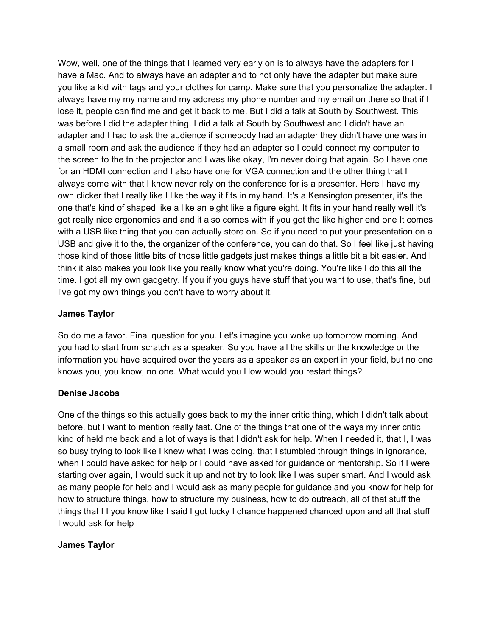Wow, well, one of the things that I learned very early on is to always have the adapters for I have a Mac. And to always have an adapter and to not only have the adapter but make sure you like a kid with tags and your clothes for camp. Make sure that you personalize the adapter. I always have my my name and my address my phone number and my email on there so that if I lose it, people can find me and get it back to me. But I did a talk at South by Southwest. This was before I did the adapter thing. I did a talk at South by Southwest and I didn't have an adapter and I had to ask the audience if somebody had an adapter they didn't have one was in a small room and ask the audience if they had an adapter so I could connect my computer to the screen to the to the projector and I was like okay, I'm never doing that again. So I have one for an HDMI connection and I also have one for VGA connection and the other thing that I always come with that I know never rely on the conference for is a presenter. Here I have my own clicker that I really like I like the way it fits in my hand. It's a Kensington presenter, it's the one that's kind of shaped like a like an eight like a figure eight. It fits in your hand really well it's got really nice ergonomics and and it also comes with if you get the like higher end one It comes with a USB like thing that you can actually store on. So if you need to put your presentation on a USB and give it to the, the organizer of the conference, you can do that. So I feel like just having those kind of those little bits of those little gadgets just makes things a little bit a bit easier. And I think it also makes you look like you really know what you're doing. You're like I do this all the time. I got all my own gadgetry. If you if you guys have stuff that you want to use, that's fine, but I've got my own things you don't have to worry about it.

# **James Taylor**

So do me a favor. Final question for you. Let's imagine you woke up tomorrow morning. And you had to start from scratch as a speaker. So you have all the skills or the knowledge or the information you have acquired over the years as a speaker as an expert in your field, but no one knows you, you know, no one. What would you How would you restart things?

# **Denise Jacobs**

One of the things so this actually goes back to my the inner critic thing, which I didn't talk about before, but I want to mention really fast. One of the things that one of the ways my inner critic kind of held me back and a lot of ways is that I didn't ask for help. When I needed it, that I, I was so busy trying to look like I knew what I was doing, that I stumbled through things in ignorance, when I could have asked for help or I could have asked for guidance or mentorship. So if I were starting over again, I would suck it up and not try to look like I was super smart. And I would ask as many people for help and I would ask as many people for guidance and you know for help for how to structure things, how to structure my business, how to do outreach, all of that stuff the things that I I you know like I said I got lucky I chance happened chanced upon and all that stuff I would ask for help

# **James Taylor**